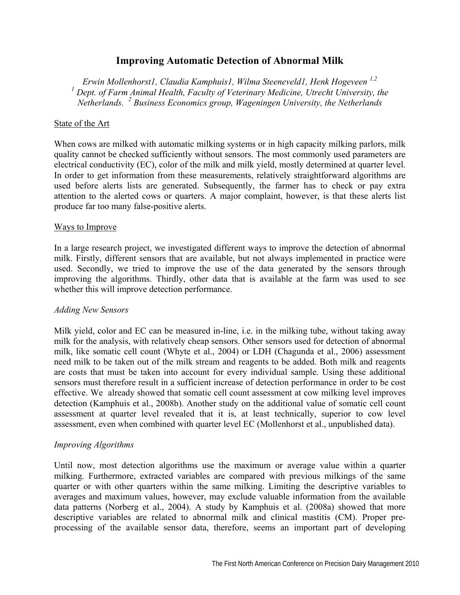# **Improving Automatic Detection of Abnormal Milk**

*Erwin Mollenhorst1, Claudia Kamphuis1, Wilma Steeneveld1, Henk Hogeveen 1,2*  <sup>1</sup> Dept. of Farm Animal Health, Faculty of Veterinary Medicine, Utrecht University, the *Netherlands. <sup>2</sup> Business Economics group, Wageningen University, the Netherlands* 

#### State of the Art

When cows are milked with automatic milking systems or in high capacity milking parlors, milk quality cannot be checked sufficiently without sensors. The most commonly used parameters are electrical conductivity (EC), color of the milk and milk yield, mostly determined at quarter level. In order to get information from these measurements, relatively straightforward algorithms are used before alerts lists are generated. Subsequently, the farmer has to check or pay extra attention to the alerted cows or quarters. A major complaint, however, is that these alerts list produce far too many false-positive alerts.

#### Ways to Improve

In a large research project, we investigated different ways to improve the detection of abnormal milk. Firstly, different sensors that are available, but not always implemented in practice were used. Secondly, we tried to improve the use of the data generated by the sensors through improving the algorithms. Thirdly, other data that is available at the farm was used to see whether this will improve detection performance.

### *Adding New Sensors*

Milk yield, color and EC can be measured in-line, i.e. in the milking tube, without taking away milk for the analysis, with relatively cheap sensors. Other sensors used for detection of abnormal milk, like somatic cell count (Whyte et al., 2004) or LDH (Chagunda et al., 2006) assessment need milk to be taken out of the milk stream and reagents to be added. Both milk and reagents are costs that must be taken into account for every individual sample. Using these additional sensors must therefore result in a sufficient increase of detection performance in order to be cost effective. We already showed that somatic cell count assessment at cow milking level improves detection (Kamphuis et al., 2008b). Another study on the additional value of somatic cell count assessment at quarter level revealed that it is, at least technically, superior to cow level assessment, even when combined with quarter level EC (Mollenhorst et al., unpublished data).

### *Improving Algorithms*

Until now, most detection algorithms use the maximum or average value within a quarter milking. Furthermore, extracted variables are compared with previous milkings of the same quarter or with other quarters within the same milking. Limiting the descriptive variables to averages and maximum values, however, may exclude valuable information from the available data patterns (Norberg et al., 2004). A study by Kamphuis et al. (2008a) showed that more descriptive variables are related to abnormal milk and clinical mastitis (CM). Proper preprocessing of the available sensor data, therefore, seems an important part of developing